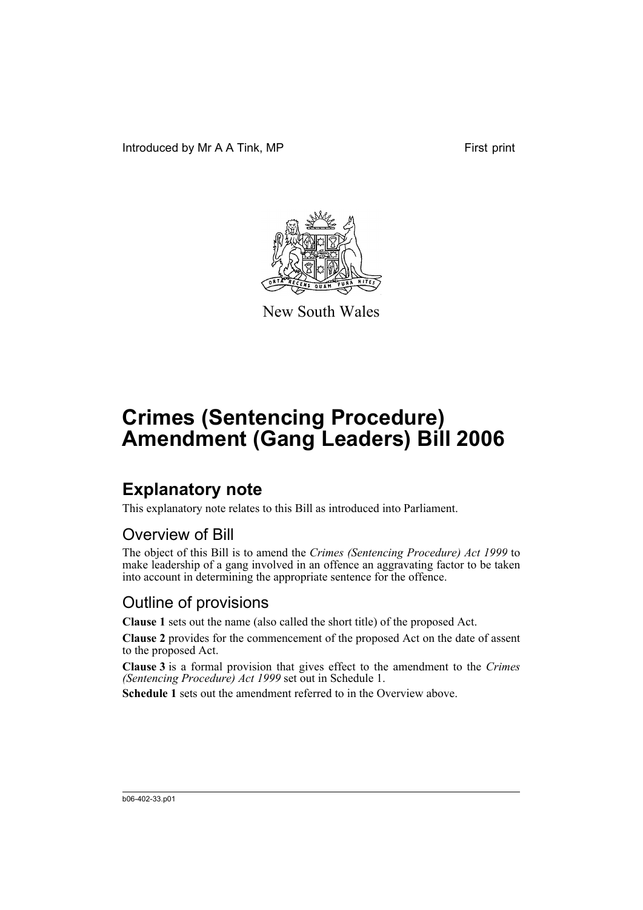Introduced by Mr A A Tink, MP First print



New South Wales

# **Crimes (Sentencing Procedure) Amendment (Gang Leaders) Bill 2006**

### **Explanatory note**

This explanatory note relates to this Bill as introduced into Parliament.

#### Overview of Bill

The object of this Bill is to amend the *Crimes (Sentencing Procedure) Act 1999* to make leadership of a gang involved in an offence an aggravating factor to be taken into account in determining the appropriate sentence for the offence.

#### Outline of provisions

**Clause 1** sets out the name (also called the short title) of the proposed Act.

**Clause 2** provides for the commencement of the proposed Act on the date of assent to the proposed Act.

**Clause 3** is a formal provision that gives effect to the amendment to the *Crimes (Sentencing Procedure) Act 1999* set out in Schedule 1.

**Schedule 1** sets out the amendment referred to in the Overview above.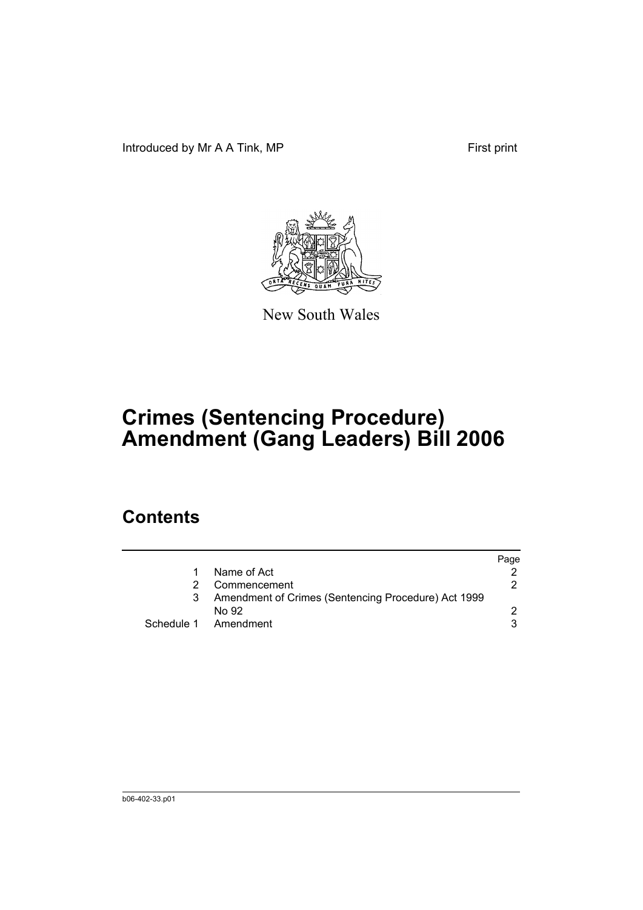Introduced by Mr A A Tink, MP First print



New South Wales

# **Crimes (Sentencing Procedure) Amendment (Gang Leaders) Bill 2006**

### **Contents**

|                                                     | Page |
|-----------------------------------------------------|------|
| Name of Act                                         |      |
| Commencement                                        | 2.   |
| Amendment of Crimes (Sentencing Procedure) Act 1999 |      |
| No 92                                               |      |
| Schedule 1 Amendment                                |      |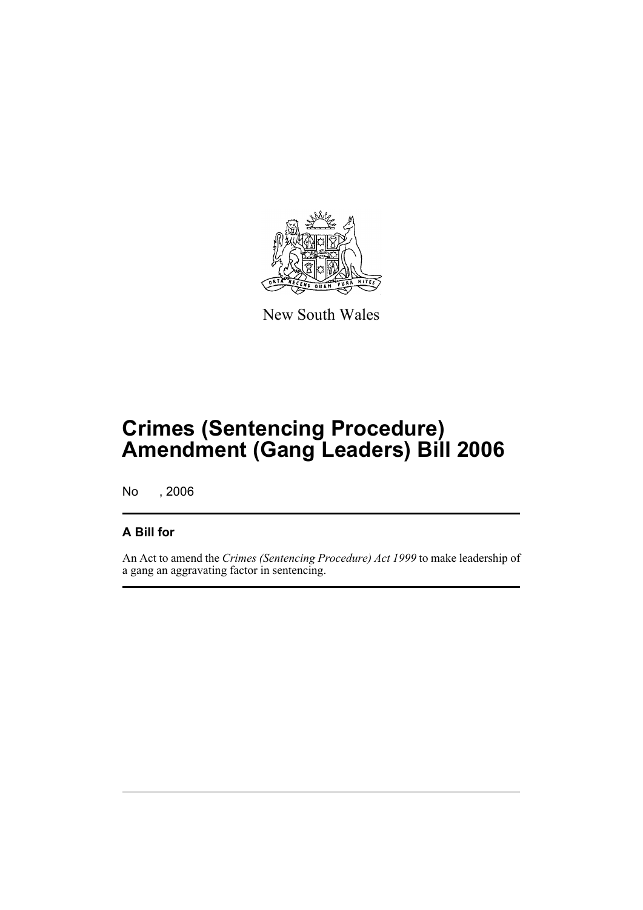

New South Wales

## **Crimes (Sentencing Procedure) Amendment (Gang Leaders) Bill 2006**

No , 2006

#### **A Bill for**

An Act to amend the *Crimes (Sentencing Procedure) Act 1999* to make leadership of a gang an aggravating factor in sentencing.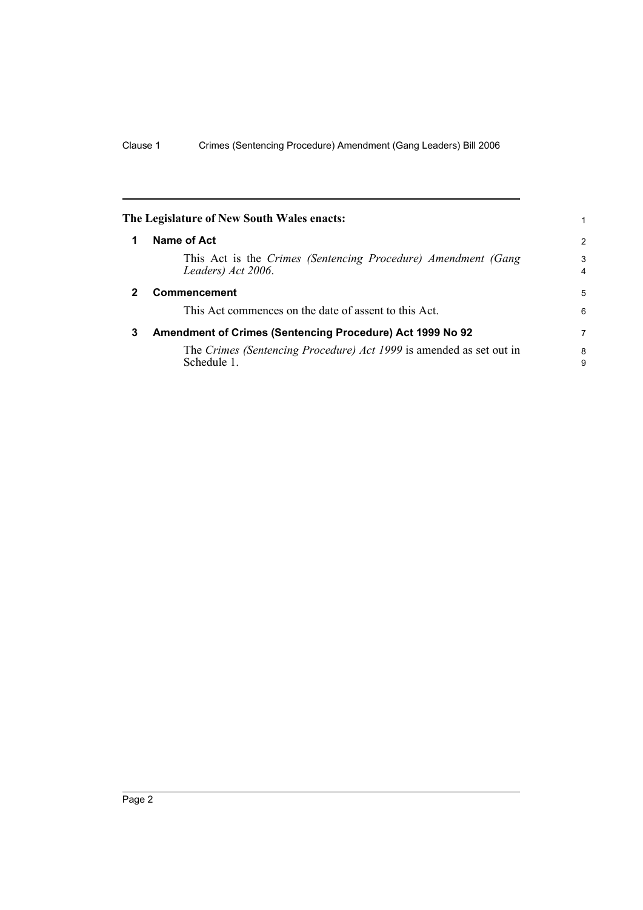<span id="page-5-2"></span><span id="page-5-1"></span><span id="page-5-0"></span>

|              | The Legislature of New South Wales enacts:                                          | 1                   |
|--------------|-------------------------------------------------------------------------------------|---------------------|
| 1            | Name of Act                                                                         | $\overline{2}$      |
|              | This Act is the Crimes (Sentencing Procedure) Amendment (Gang<br>Leaders) Act 2006. | 3<br>$\overline{4}$ |
| $\mathbf{2}$ | <b>Commencement</b>                                                                 | 5                   |
|              | This Act commences on the date of assent to this Act.                               | 6                   |
| 3            | Amendment of Crimes (Sentencing Procedure) Act 1999 No 92                           | 7                   |
|              | The Crimes (Sentencing Procedure) Act 1999 is amended as set out in<br>Schedule 1.  | 8<br>9              |